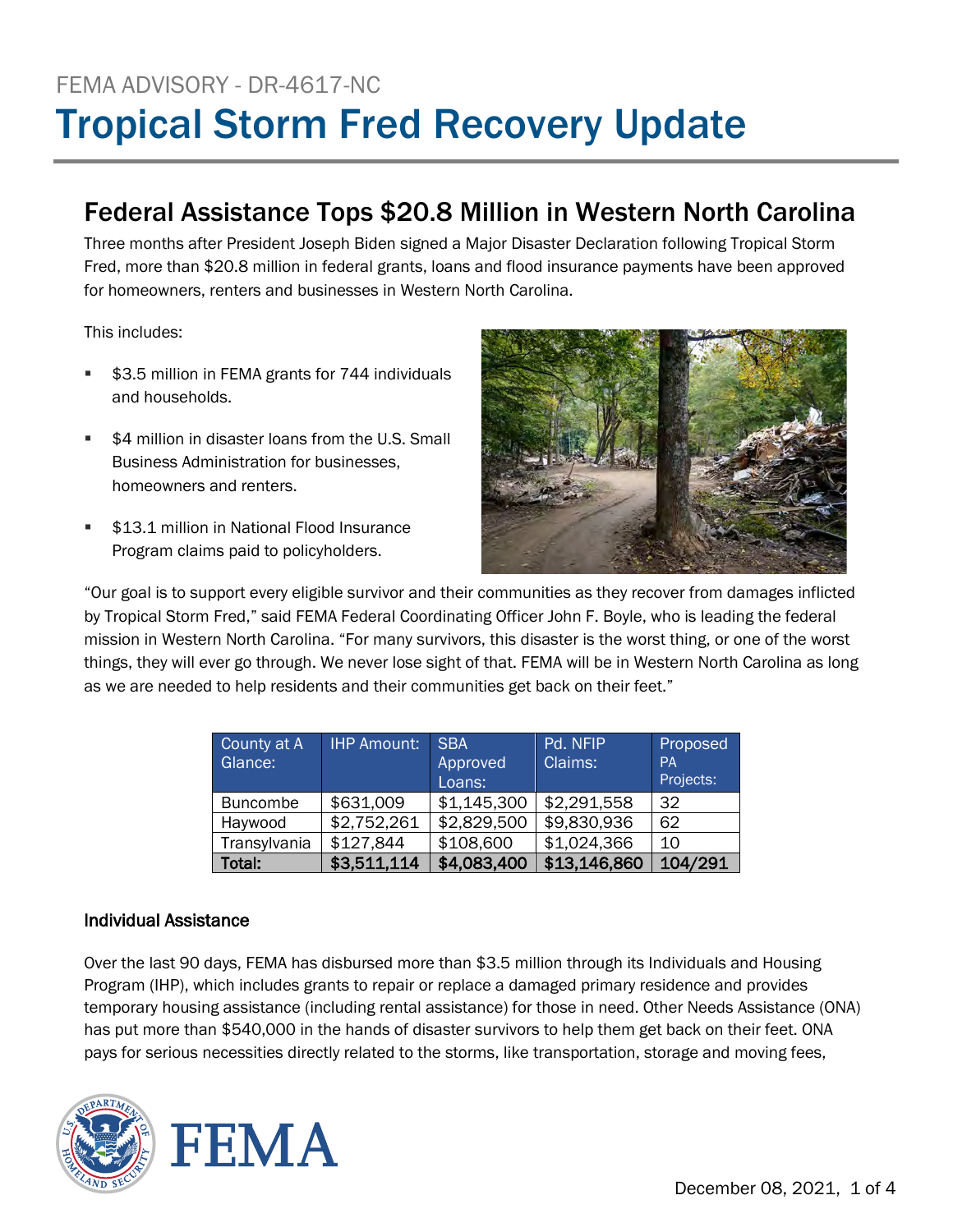# FEMA ADVISORY - DR-4617-NC Tropical Storm Fred Recovery Update

## Federal Assistance Tops \$20.8 Million in Western North Carolina

Three months after President Joseph Biden signed a Major Disaster Declaration following Tropical Storm Fred, more than \$20.8 million in federal grants, loans and flood insurance payments have been approved for homeowners, renters and businesses in Western North Carolina.

This includes:

- \$3.5 million in FEMA grants for 744 individuals and households.
- \$4 million in disaster loans from the U.S. Small Business Administration for businesses, homeowners and renters.
- **513.1 million in National Flood Insurance** Program claims paid to policyholders.



"Our goal is to support every eligible survivor and their communities as they recover from damages inflicted by Tropical Storm Fred," said FEMA Federal Coordinating Officer John F. Boyle, who is leading the federal mission in Western North Carolina. "For many survivors, this disaster is the worst thing, or one of the worst things, they will ever go through. We never lose sight of that. FEMA will be in Western North Carolina as long as we are needed to help residents and their communities get back on their feet."

| County at A     | <b>IHP Amount:</b> | <b>SBA</b>  | Pd. NFIP     | Proposed  |
|-----------------|--------------------|-------------|--------------|-----------|
| Glance:         |                    | Approved    | Claims:      | <b>PA</b> |
|                 |                    | Loans:      |              | Projects: |
| <b>Buncombe</b> | \$631,009          | \$1,145,300 | \$2,291,558  | 32        |
| Haywood         | \$2,752,261        | \$2,829,500 | \$9,830,936  | 62        |
| Transylvania    | \$127,844          | \$108,600   | \$1,024,366  | 10        |
| Total:          | \$3,511,114        | \$4,083,400 | \$13,146,860 | 104/291   |

## Individual Assistance

Over the last 90 days, FEMA has disbursed more than \$3.5 million through its Individuals and Housing Program (IHP), which includes grants to repair or replace a damaged primary residence and provides temporary housing assistance (including rental assistance) for those in need. Other Needs Assistance (ONA) has put more than \$540,000 in the hands of disaster survivors to help them get back on their feet. ONA pays for serious necessities directly related to the storms, like transportation, storage and moving fees,

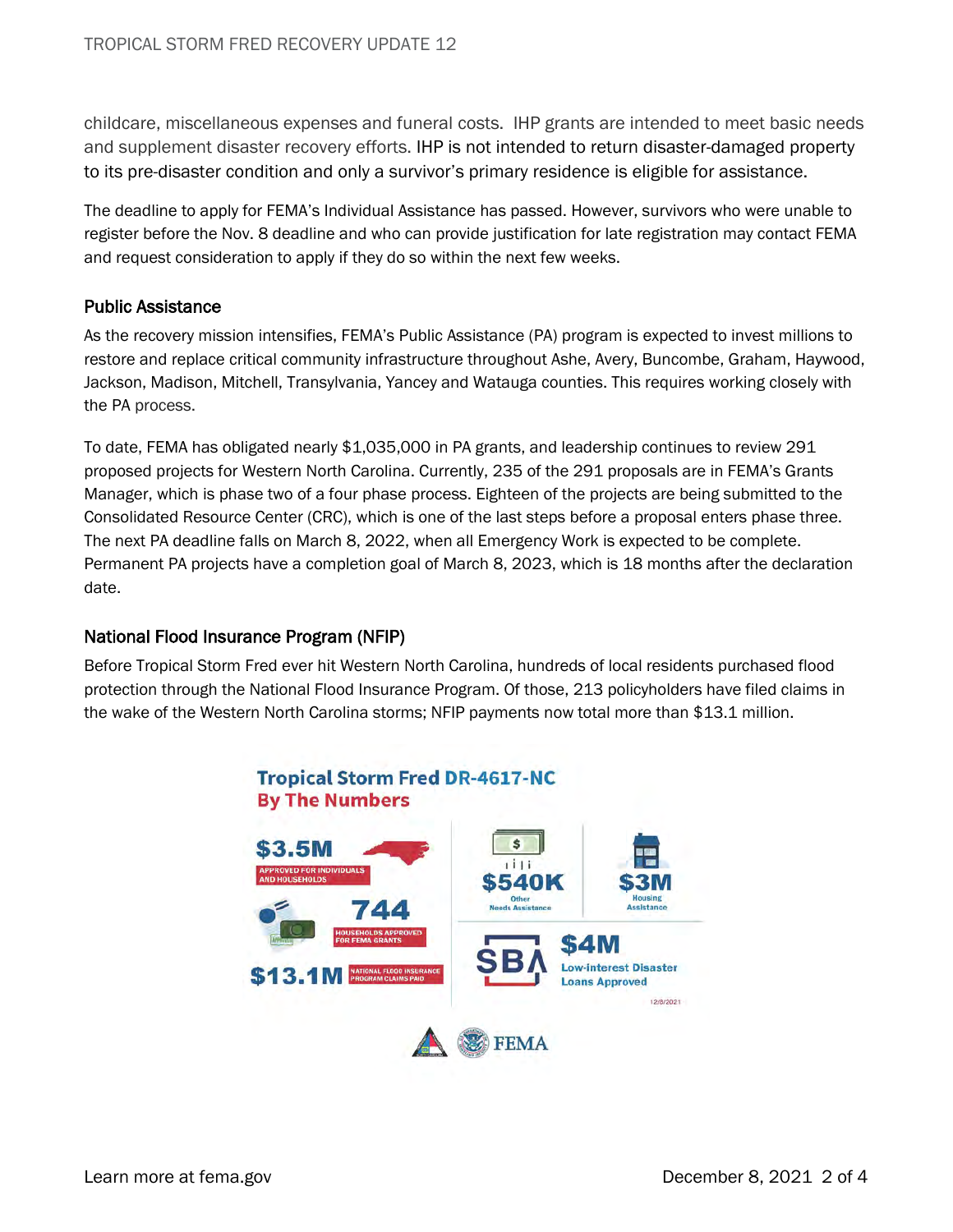childcare, miscellaneous expenses and funeral costs. IHP grants are intended to meet basic needs and supplement disaster recovery efforts. IHP is not intended to return disaster-damaged property to its pre-disaster condition and only a survivor's primary residence is eligible for assistance.

The deadline to apply for FEMA's Individual Assistance has passed. However, survivors who were unable to register before the Nov. 8 deadline and who can provide justification for late registration may contact FEMA and request consideration to apply if they do so within the next few weeks.

## Public Assistance

As the recovery mission intensifies, FEMA's Public Assistance (PA) program is expected to invest millions to restore and replace critical community infrastructure throughout Ashe, Avery, Buncombe, Graham, Haywood, Jackson, Madison, Mitchell, Transylvania, Yancey and Watauga counties. This requires working closely with the PA process.

To date, FEMA has obligated nearly \$1,035,000 in PA grants, and leadership continues to review 291 proposed projects for Western North Carolina. Currently, 235 of the 291 proposals are in FEMA's Grants Manager, which is phase two of a four phase process. Eighteen of the projects are being submitted to the Consolidated Resource Center (CRC), which is one of the last steps before a proposal enters phase three. The next PA deadline falls on March 8, 2022, when all Emergency Work is expected to be complete. Permanent PA projects have a completion goal of March 8, 2023, which is 18 months after the declaration date.

## National Flood Insurance Program (NFIP)

Before Tropical Storm Fred ever hit Western North Carolina, hundreds of local residents purchased flood protection through the National Flood Insurance Program. Of those, 213 policyholders have filed claims in the wake of the Western North Carolina storms; NFIP payments now total more than \$13.1 million.

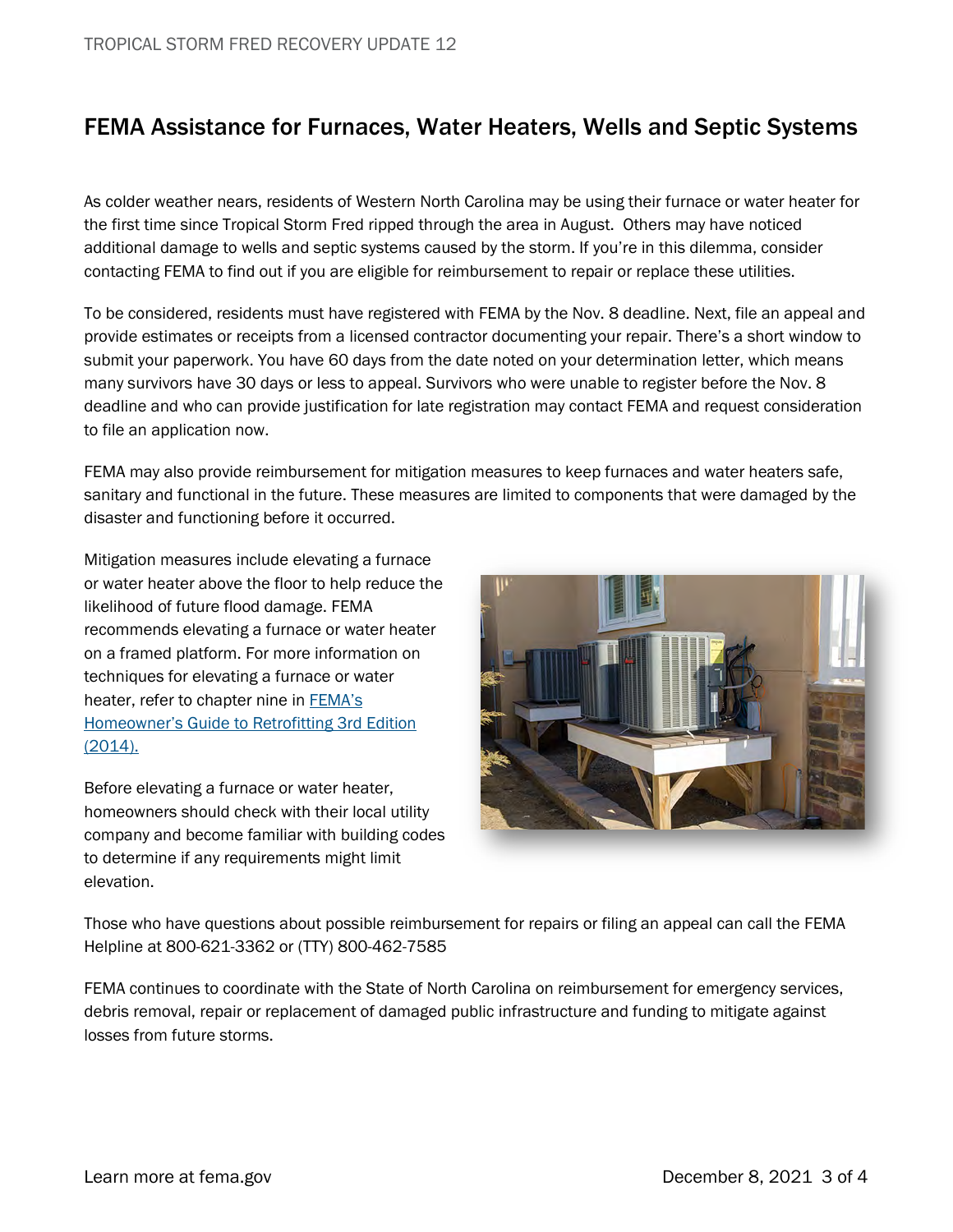## FEMA Assistance for Furnaces, Water Heaters, Wells and Septic Systems

As colder weather nears, residents of Western North Carolina may be using their furnace or water heater for the first time since Tropical Storm Fred ripped through the area in August. Others may have noticed additional damage to wells and septic systems caused by the storm. If you're in this dilemma, consider contacting FEMA to find out if you are eligible for reimbursement to repair or replace these utilities.

To be considered, residents must have registered with FEMA by the Nov. 8 deadline. Next, file an appeal and provide estimates or receipts from a licensed contractor documenting your repair. There's a short window to submit your paperwork. You have 60 days from the date noted on your determination letter, which means many survivors have 30 days or less to appeal. Survivors who were unable to register before the Nov. 8 deadline and who can provide justification for late registration may contact FEMA and request consideration to file an application now.

FEMA may also provide reimbursement for mitigation measures to keep furnaces and water heaters safe, sanitary and functional in the future. These measures are limited to components that were damaged by the disaster and functioning before it occurred.

Mitigation measures include elevating a furnace or water heater above the floor to help reduce the likelihood of future flood damage. FEMA recommends elevating a furnace or water heater on a framed platform. For more information on techniques for elevating a furnace or water heater, refer to chapter nine in **FEMA's** [Homeowner's Guide to Retrofitting 3rd Edition](https://www.fema.gov/sites/default/files/2020-08/FEMA_P-312.pdf)  [\(2014\).](https://www.fema.gov/sites/default/files/2020-08/FEMA_P-312.pdf)

Before elevating a furnace or water heater, homeowners should check with their local utility company and become familiar with building codes to determine if any requirements might limit elevation.



Those who have questions about possible reimbursement for repairs or filing an appeal can call the FEMA Helpline at 800-621-3362 or (TTY) 800-462-7585

FEMA continues to coordinate with the State of North Carolina on reimbursement for emergency services, debris removal, repair or replacement of damaged public infrastructure and funding to mitigate against losses from future storms.